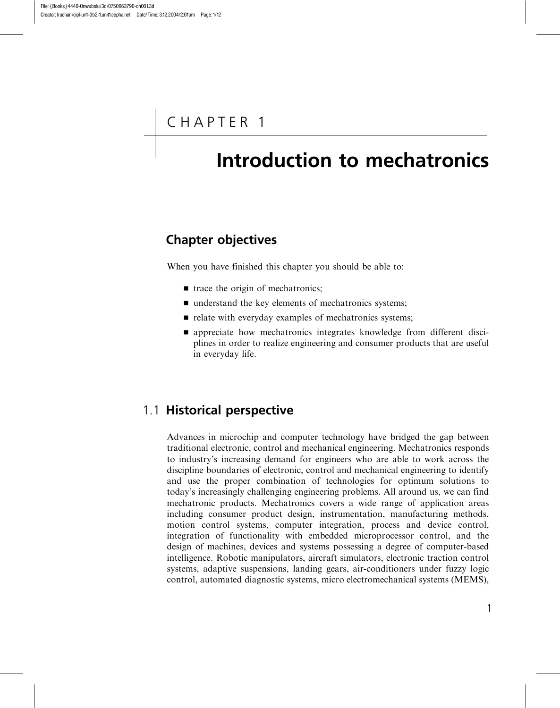# CHAPTER 1

# Introduction to mechatronics

## Chapter objectives

When you have finished this chapter you should be able to:

- $\blacksquare$  trace the origin of mechatronics;
- $\blacksquare$  understand the key elements of mechatronics systems;
- $\blacksquare$  relate with everyday examples of mechatronics systems;
- $\blacksquare$  appreciate how mechatronics integrates knowledge from different disciplines in order to realize engineering and consumer products that are useful in everyday life.

## 1.1 Historical perspective

Advances in microchip and computer technology have bridged the gap between traditional electronic, control and mechanical engineering. Mechatronics responds to industry's increasing demand for engineers who are able to work across the discipline boundaries of electronic, control and mechanical engineering to identify and use the proper combination of technologies for optimum solutions to today's increasingly challenging engineering problems. All around us, we can find mechatronic products. Mechatronics covers a wide range of application areas including consumer product design, instrumentation, manufacturing methods, motion control systems, computer integration, process and device control, integration of functionality with embedded microprocessor control, and the design of machines, devices and systems possessing a degree of computer-based intelligence. Robotic manipulators, aircraft simulators, electronic traction control systems, adaptive suspensions, landing gears, air-conditioners under fuzzy logic control, automated diagnostic systems, micro electromechanical systems (MEMS),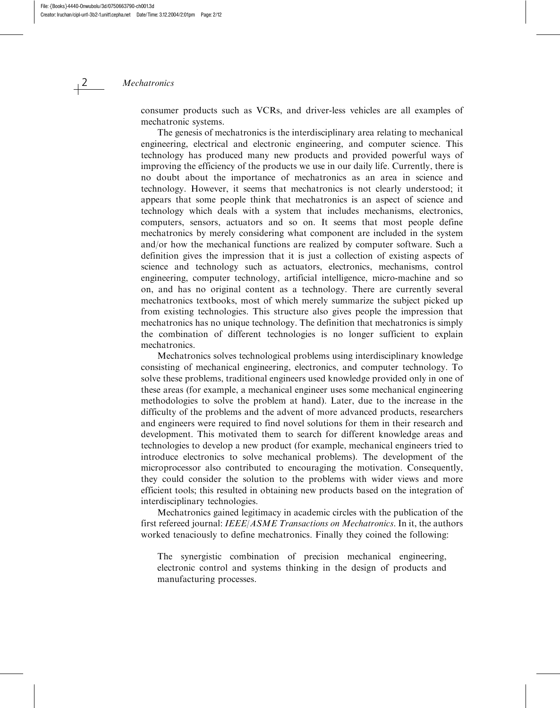consumer products such as VCRs, and driver-less vehicles are all examples of mechatronic systems.

The genesis of mechatronics is the interdisciplinary area relating to mechanical engineering, electrical and electronic engineering, and computer science. This technology has produced many new products and provided powerful ways of improving the efficiency of the products we use in our daily life. Currently, there is no doubt about the importance of mechatronics as an area in science and technology. However, it seems that mechatronics is not clearly understood; it appears that some people think that mechatronics is an aspect of science and technology which deals with a system that includes mechanisms, electronics, computers, sensors, actuators and so on. It seems that most people define mechatronics by merely considering what component are included in the system and/or how the mechanical functions are realized by computer software. Such a definition gives the impression that it is just a collection of existing aspects of science and technology such as actuators, electronics, mechanisms, control engineering, computer technology, artificial intelligence, micro-machine and so on, and has no original content as a technology. There are currently several mechatronics textbooks, most of which merely summarize the subject picked up from existing technologies. This structure also gives people the impression that mechatronics has no unique technology. The definition that mechatronics is simply the combination of different technologies is no longer sufficient to explain mechatronics.

Mechatronics solves technological problems using interdisciplinary knowledge consisting of mechanical engineering, electronics, and computer technology. To solve these problems, traditional engineers used knowledge provided only in one of these areas (for example, a mechanical engineer uses some mechanical engineering methodologies to solve the problem at hand). Later, due to the increase in the difficulty of the problems and the advent of more advanced products, researchers and engineers were required to find novel solutions for them in their research and development. This motivated them to search for different knowledge areas and technologies to develop a new product (for example, mechanical engineers tried to introduce electronics to solve mechanical problems). The development of the microprocessor also contributed to encouraging the motivation. Consequently, they could consider the solution to the problems with wider views and more efficient tools; this resulted in obtaining new products based on the integration of interdisciplinary technologies.

Mechatronics gained legitimacy in academic circles with the publication of the first refereed journal: IEEE/ASME Transactions on Mechatronics. In it, the authors worked tenaciously to define mechatronics. Finally they coined the following:

The synergistic combination of precision mechanical engineering, electronic control and systems thinking in the design of products and manufacturing processes.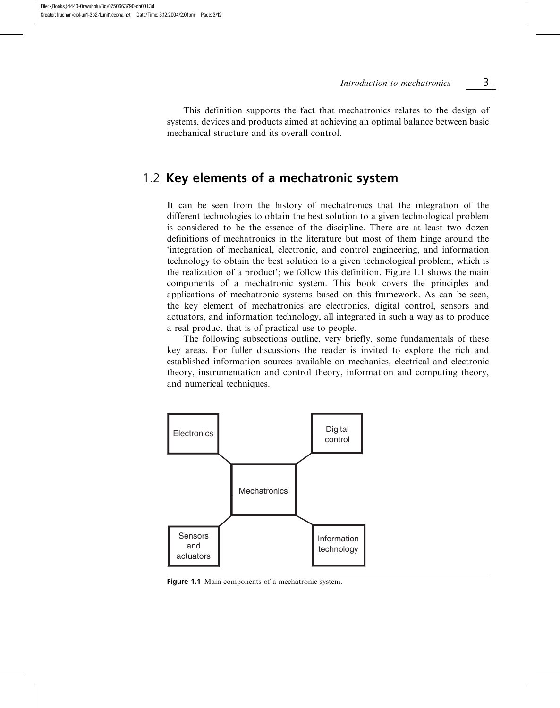This definition supports the fact that mechatronics relates to the design of systems, devices and products aimed at achieving an optimal balance between basic mechanical structure and its overall control.

## 1.2 Key elements of a mechatronic system

It can be seen from the history of mechatronics that the integration of the different technologies to obtain the best solution to a given technological problem is considered to be the essence of the discipline. There are at least two dozen definitions of mechatronics in the literature but most of them hinge around the 'integration of mechanical, electronic, and control engineering, and information technology to obtain the best solution to a given technological problem, which is the realization of a product'; we follow this definition. Figure 1.1 shows the main components of a mechatronic system. This book covers the principles and applications of mechatronic systems based on this framework. As can be seen, the key element of mechatronics are electronics, digital control, sensors and actuators, and information technology, all integrated in such a way as to produce a real product that is of practical use to people.

The following subsections outline, very briefly, some fundamentals of these key areas. For fuller discussions the reader is invited to explore the rich and established information sources available on mechanics, electrical and electronic theory, instrumentation and control theory, information and computing theory, and numerical techniques.



Figure 1.1 Main components of a mechatronic system.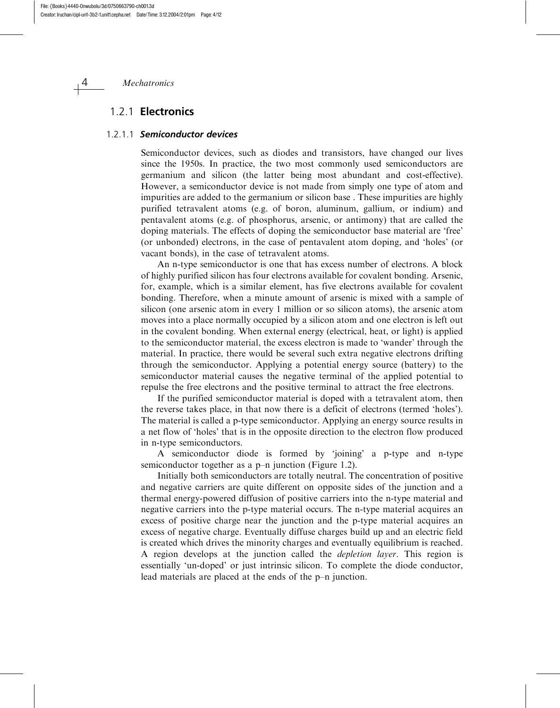## 1.2.1 Electronics

#### 1.2.1.1 Semiconductor devices

Semiconductor devices, such as diodes and transistors, have changed our lives since the 1950s. In practice, the two most commonly used semiconductors are germanium and silicon (the latter being most abundant and cost-effective). However, a semiconductor device is not made from simply one type of atom and impurities are added to the germanium or silicon base . These impurities are highly purified tetravalent atoms (e.g. of boron, aluminum, gallium, or indium) and pentavalent atoms (e.g. of phosphorus, arsenic, or antimony) that are called the doping materials. The effects of doping the semiconductor base material are 'free' (or unbonded) electrons, in the case of pentavalent atom doping, and 'holes' (or vacant bonds), in the case of tetravalent atoms.

An n-type semiconductor is one that has excess number of electrons. A block of highly purified silicon has four electrons available for covalent bonding. Arsenic, for, example, which is a similar element, has five electrons available for covalent bonding. Therefore, when a minute amount of arsenic is mixed with a sample of silicon (one arsenic atom in every 1 million or so silicon atoms), the arsenic atom moves into a place normally occupied by a silicon atom and one electron is left out in the covalent bonding. When external energy (electrical, heat, or light) is applied to the semiconductor material, the excess electron is made to 'wander' through the material. In practice, there would be several such extra negative electrons drifting through the semiconductor. Applying a potential energy source (battery) to the semiconductor material causes the negative terminal of the applied potential to repulse the free electrons and the positive terminal to attract the free electrons.

If the purified semiconductor material is doped with a tetravalent atom, then the reverse takes place, in that now there is a deficit of electrons (termed 'holes'). The material is called a p-type semiconductor. Applying an energy source results in a net flow of 'holes' that is in the opposite direction to the electron flow produced in n-type semiconductors.

A semiconductor diode is formed by 'joining' a p-type and n-type semiconductor together as a p–n junction (Figure 1.2).

Initially both semiconductors are totally neutral. The concentration of positive and negative carriers are quite different on opposite sides of the junction and a thermal energy-powered diffusion of positive carriers into the n-type material and negative carriers into the p-type material occurs. The n-type material acquires an excess of positive charge near the junction and the p-type material acquires an excess of negative charge. Eventually diffuse charges build up and an electric field is created which drives the minority charges and eventually equilibrium is reached. A region develops at the junction called the depletion layer. This region is essentially 'un-doped' or just intrinsic silicon. To complete the diode conductor, lead materials are placed at the ends of the p–n junction.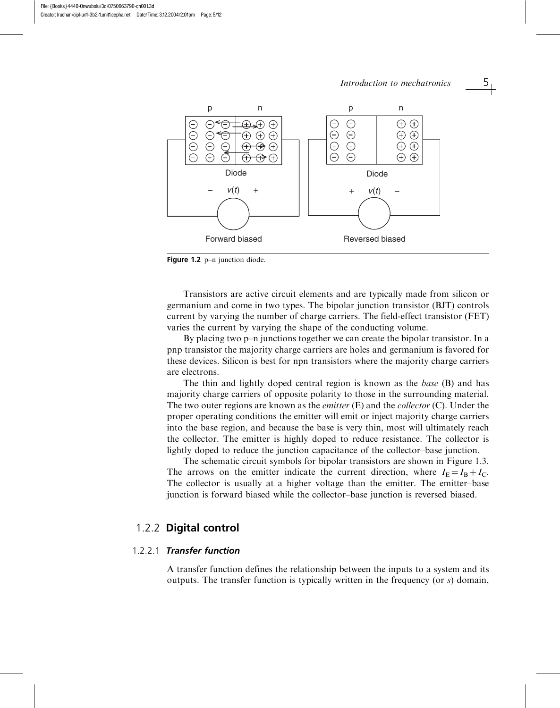

Figure 1.2 p-n junction diode.

Transistors are active circuit elements and are typically made from silicon or germanium and come in two types. The bipolar junction transistor (BJT) controls current by varying the number of charge carriers. The field-effect transistor (FET) varies the current by varying the shape of the conducting volume.

By placing two p–n junctions together we can create the bipolar transistor. In a pnp transistor the majority charge carriers are holes and germanium is favored for these devices. Silicon is best for npn transistors where the majority charge carriers are electrons.

The thin and lightly doped central region is known as the *base* (B) and has majority charge carriers of opposite polarity to those in the surrounding material. The two outer regions are known as the *emitter*  $(E)$  and the *collector*  $(C)$ . Under the proper operating conditions the emitter will emit or inject majority charge carriers into the base region, and because the base is very thin, most will ultimately reach the collector. The emitter is highly doped to reduce resistance. The collector is lightly doped to reduce the junction capacitance of the collector–base junction.

The schematic circuit symbols for bipolar transistors are shown in Figure 1.3. The arrows on the emitter indicate the current direction, where  $I_E = I_B + I_C$ . The collector is usually at a higher voltage than the emitter. The emitter–base junction is forward biased while the collector–base junction is reversed biased.

## 1.2.2 Digital control

### 1.2.2.1 Transfer function

A transfer function defines the relationship between the inputs to a system and its outputs. The transfer function is typically written in the frequency (or  $s$ ) domain,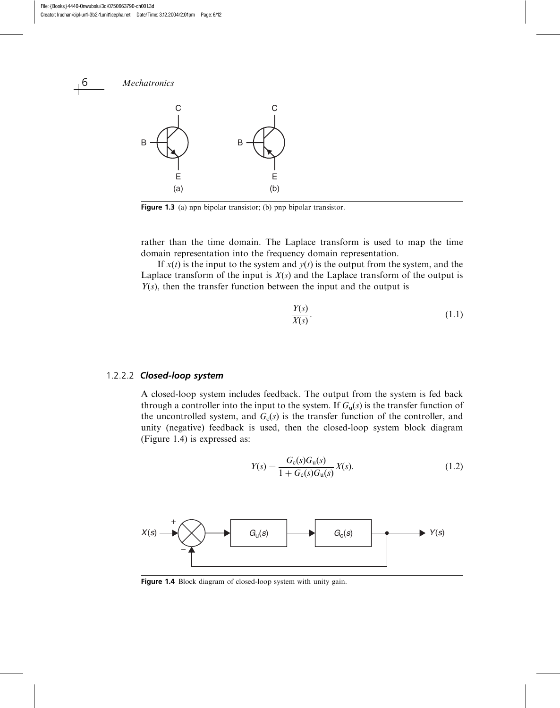

Figure 1.3 (a) npn bipolar transistor; (b) pnp bipolar transistor.

rather than the time domain. The Laplace transform is used to map the time domain representation into the frequency domain representation.

If  $x(t)$  is the input to the system and  $y(t)$  is the output from the system, and the Laplace transform of the input is  $X(s)$  and the Laplace transform of the output is  $Y(s)$ , then the transfer function between the input and the output is

$$
\frac{Y(s)}{X(s)}.\t(1.1)
$$

#### 1.2.2.2 Closed-loop system

A closed-loop system includes feedback. The output from the system is fed back through a controller into the input to the system. If  $G<sub>u</sub>(s)$  is the transfer function of the uncontrolled system, and  $G<sub>c</sub>(s)$  is the transfer function of the controller, and unity (negative) feedback is used, then the closed-loop system block diagram (Figure 1.4) is expressed as:

$$
Y(s) = \frac{G_{c}(s)G_{u}(s)}{1 + G_{c}(s)G_{u}(s)}X(s).
$$
\n(1.2)



Figure 1.4 Block diagram of closed-loop system with unity gain.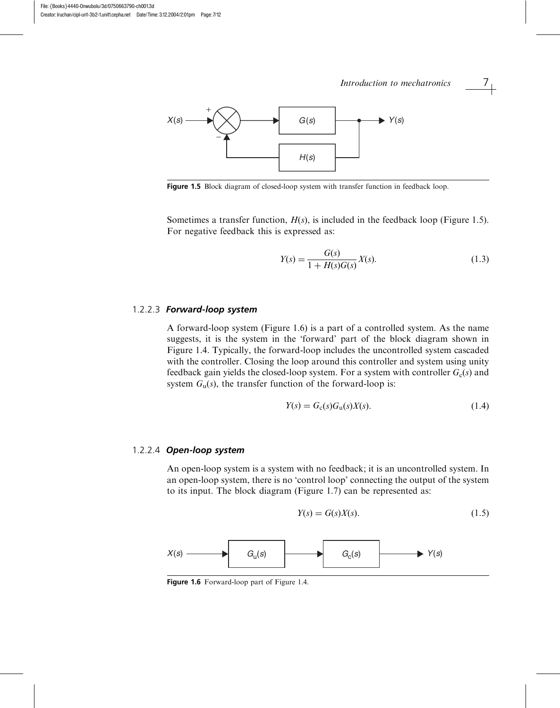# *X*(*s*) *G*(*s*) *Y*(*s*) *H*(*s*) + − Introduction to mechatronics  $\overline{\phantom{a}1}$

Figure 1.5 Block diagram of closed-loop system with transfer function in feedback loop.

Sometimes a transfer function,  $H(s)$ , is included in the feedback loop (Figure 1.5). For negative feedback this is expressed as:

$$
Y(s) = \frac{G(s)}{1 + H(s)G(s)}X(s).
$$
\n(1.3)

#### 1.2.2.3 Forward-loop system

A forward-loop system (Figure 1.6) is a part of a controlled system. As the name suggests, it is the system in the 'forward' part of the block diagram shown in Figure 1.4. Typically, the forward-loop includes the uncontrolled system cascaded with the controller. Closing the loop around this controller and system using unity feedback gain yields the closed-loop system. For a system with controller  $G_c(s)$  and system  $G_u(s)$ , the transfer function of the forward-loop is:

$$
Y(s) = Gc(s)Gu(s)X(s).
$$
\n(1.4)

#### 1.2.2.4 Open-loop system

An open-loop system is a system with no feedback; it is an uncontrolled system. In an open-loop system, there is no 'control loop' connecting the output of the system to its input. The block diagram (Figure 1.7) can be represented as:

$$
Y(s) = G(s)X(s). \tag{1.5}
$$



Figure 1.6 Forward-loop part of Figure 1.4.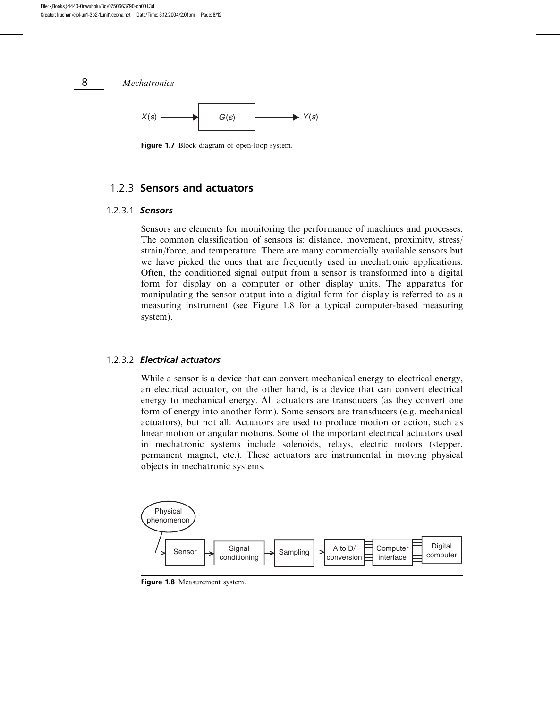

Figure 1.7 Block diagram of open-loop system.

## 1.2.3 Sensors and actuators

### 1.2.3.1 Sensors

Sensors are elements for monitoring the performance of machines and processes. The common classification of sensors is: distance, movement, proximity, stress/ strain/force, and temperature. There are many commercially available sensors but we have picked the ones that are frequently used in mechatronic applications. Often, the conditioned signal output from a sensor is transformed into a digital form for display on a computer or other display units. The apparatus for manipulating the sensor output into a digital form for display is referred to as a measuring instrument (see Figure 1.8 for a typical computer-based measuring system).

### 1.2.3.2 Electrical actuators

While a sensor is a device that can convert mechanical energy to electrical energy, an electrical actuator, on the other hand, is a device that can convert electrical energy to mechanical energy. All actuators are transducers (as they convert one form of energy into another form). Some sensors are transducers (e.g. mechanical actuators), but not all. Actuators are used to produce motion or action, such as linear motion or angular motions. Some of the important electrical actuators used in mechatronic systems include solenoids, relays, electric motors (stepper, permanent magnet, etc.). These actuators are instrumental in moving physical objects in mechatronic systems.



Figure 1.8 Measurement system.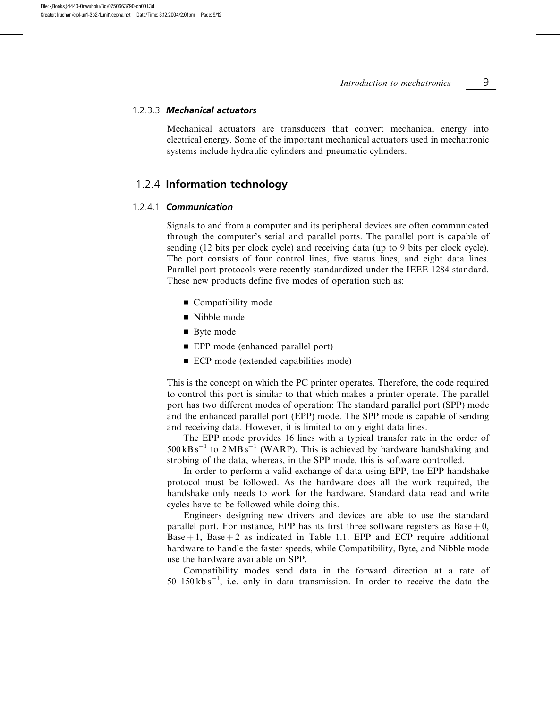#### 1.2.3.3 Mechanical actuators

Mechanical actuators are transducers that convert mechanical energy into electrical energy. Some of the important mechanical actuators used in mechatronic systems include hydraulic cylinders and pneumatic cylinders.

## 1.2.4 Information technology

#### 1.2.4.1 Communication

Signals to and from a computer and its peripheral devices are often communicated through the computer's serial and parallel ports. The parallel port is capable of sending (12 bits per clock cycle) and receiving data (up to 9 bits per clock cycle). The port consists of four control lines, five status lines, and eight data lines. Parallel port protocols were recently standardized under the IEEE 1284 standard. These new products define five modes of operation such as:

- $\blacksquare$  Compatibility mode
- Nibble mode
- $\blacksquare$  Byte mode
- EPP mode (enhanced parallel port)
- ECP mode (extended capabilities mode)

This is the concept on which the PC printer operates. Therefore, the code required to control this port is similar to that which makes a printer operate. The parallel port has two different modes of operation: The standard parallel port (SPP) mode and the enhanced parallel port (EPP) mode. The SPP mode is capable of sending and receiving data. However, it is limited to only eight data lines.

The EPP mode provides 16 lines with a typical transfer rate in the order of  $500 \text{ kBs}^{-1}$  to  $2 \text{ MBs}^{-1}$  (WARP). This is achieved by hardware handshaking and strobing of the data, whereas, in the SPP mode, this is software controlled.

In order to perform a valid exchange of data using EPP, the EPP handshake protocol must be followed. As the hardware does all the work required, the handshake only needs to work for the hardware. Standard data read and write cycles have to be followed while doing this.

Engineers designing new drivers and devices are able to use the standard parallel port. For instance, EPP has its first three software registers as  $Base + 0$ , Base  $+1$ , Base  $+2$  as indicated in Table 1.1. EPP and ECP require additional hardware to handle the faster speeds, while Compatibility, Byte, and Nibble mode use the hardware available on SPP.

Compatibility modes send data in the forward direction at a rate of  $50-150 \text{ kb s}^{-1}$ , i.e. only in data transmission. In order to receive the data the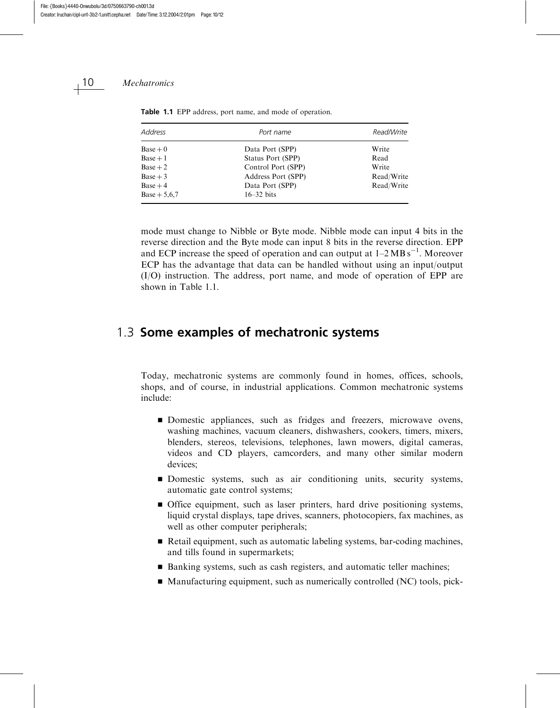| Address        | Port name          | Read/Write |
|----------------|--------------------|------------|
| $Base + 0$     | Data Port (SPP)    | Write      |
| $Base + 1$     | Status Port (SPP)  | Read       |
| $Base + 2$     | Control Port (SPP) | Write      |
| $Base + 3$     | Address Port (SPP) | Read/Write |
| $Base + 4$     | Data Port (SPP)    | Read/Write |
| $Base + 5.6.7$ | $16-32$ bits       |            |

Table 1.1 EPP address, port name, and mode of operation.

mode must change to Nibble or Byte mode. Nibble mode can input 4 bits in the reverse direction and the Byte mode can input 8 bits in the reverse direction. EPP and ECP increase the speed of operation and can output at  $1-2MB s^{-1}$ . Moreover ECP has the advantage that data can be handled without using an input/output (I/O) instruction. The address, port name, and mode of operation of EPP are shown in Table 1.1.

# 1.3 Some examples of mechatronic systems

Today, mechatronic systems are commonly found in homes, offices, schools, shops, and of course, in industrial applications. Common mechatronic systems include:

- Domestic appliances, such as fridges and freezers, microwave ovens, washing machines, vacuum cleaners, dishwashers, cookers, timers, mixers, blenders, stereos, televisions, telephones, lawn mowers, digital cameras, videos and CD players, camcorders, and many other similar modern devices;
- Domestic systems, such as air conditioning units, security systems, automatic gate control systems;
- & Office equipment, such as laser printers, hard drive positioning systems, liquid crystal displays, tape drives, scanners, photocopiers, fax machines, as well as other computer peripherals;
- Retail equipment, such as automatic labeling systems, bar-coding machines, and tills found in supermarkets;
- Banking systems, such as cash registers, and automatic teller machines;
- $\blacksquare$  Manufacturing equipment, such as numerically controlled (NC) tools, pick-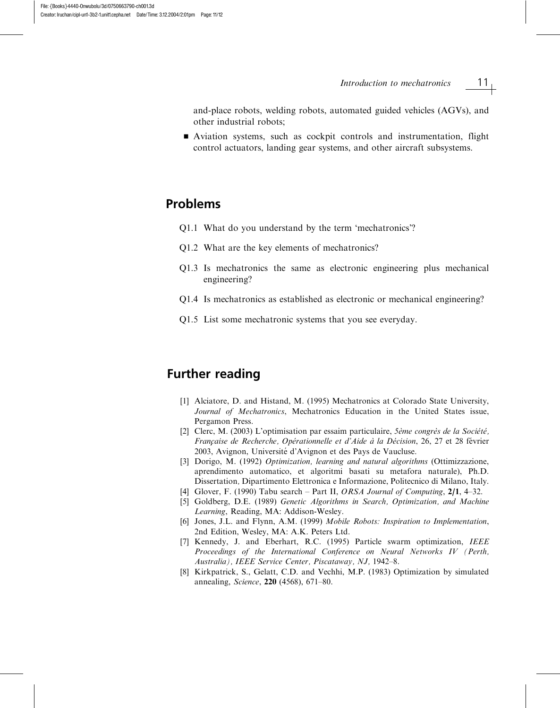Introduction to mechatronics  $11<sub>1</sub>$ 

and-place robots, welding robots, automated guided vehicles (AGVs), and other industrial robots;

& Aviation systems, such as cockpit controls and instrumentation, flight control actuators, landing gear systems, and other aircraft subsystems.

## Problems

- Q1.1 What do you understand by the term 'mechatronics'?
- Q1.2 What are the key elements of mechatronics?
- Q1.3 Is mechatronics the same as electronic engineering plus mechanical engineering?
- Q1.4 Is mechatronics as established as electronic or mechanical engineering?
- Q1.5 List some mechatronic systems that you see everyday.

# Further reading

- [1] Alciatore, D. and Histand, M. (1995) Mechatronics at Colorado State University, Journal of Mechatronics, Mechatronics Education in the United States issue, Pergamon Press.
- [2] Clerc, M. (2003) L'optimisation par essaim particulaire, 5ème congrès de la Société, Française de Recherche, Opérationnelle et d'Aide à la Décision, 26, 27 et 28 février 2003, Avignon, Université d'Avignon et des Pays de Vaucluse.
- [3] Dorigo, M. (1992) Optimization, learning and natural algorithms (Ottimizzazione, aprendimento automatico, et algoritmi basati su metafora naturale), Ph.D. Dissertation, Dipartimento Elettronica e Informazione, Politecnico di Milano, Italy.
- [4] Glover, F. (1990) Tabu search Part II, ORSA Journal of Computing, 2/1, 4–32.
- [5] Goldberg, D.E. (1989) Genetic Algorithms in Search, Optimization, and Machine Learning, Reading, MA: Addison-Wesley.
- [6] Jones, J.L. and Flynn, A.M. (1999) Mobile Robots: Inspiration to Implementation, 2nd Edition, Wesley, MA: A.K. Peters Ltd.
- [7] Kennedy, J. and Eberhart, R.C. (1995) Particle swarm optimization, IEEE Proceedings of the International Conference on Neural Networks IV (Perth, Australia), IEEE Service Center, Piscataway, NJ, 1942–8.
- [8] Kirkpatrick, S., Gelatt, C.D. and Vechhi, M.P. (1983) Optimization by simulated annealing, Science, 220 (4568), 671–80.